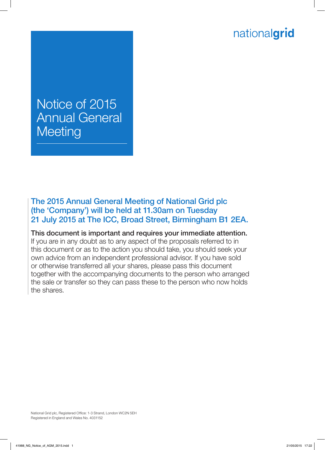# nationalgrid

# Notice of 2015 Annual General **Meeting**

The 2015 Annual General Meeting of National Grid plc (the 'Company') will be held at 11.30am on Tuesday 21 July 2015 at The ICC, Broad Street, Birmingham B1 2EA.

This document is important and requires your immediate attention. If you are in any doubt as to any aspect of the proposals referred to in this document or as to the action you should take, you should seek your own advice from an independent professional advisor. If you have sold or otherwise transferred all your shares, please pass this document together with the accompanying documents to the person who arranged the sale or transfer so they can pass these to the person who now holds the shares.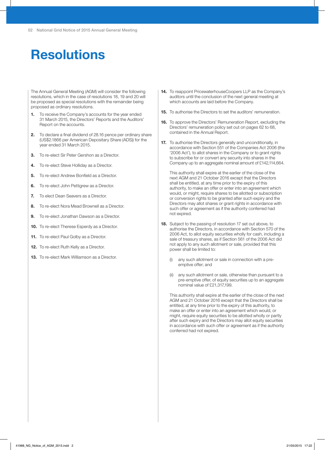# **Resolutions**

The Annual General Meeting (AGM) will consider the following resolutions, which in the case of resolutions 18, 19 and 20 will be proposed as special resolutions with the remainder being proposed as ordinary resolutions.

- To receive the Company's accounts for the year ended 31 March 2015, the Directors' Reports and the Auditors' Report on the accounts.
- 2. To declare a final dividend of 28.16 pence per ordinary share (US\$2.1866 per American Depositary Share (ADS)) for the year ended 31 March 2015.
- 3. To re-elect Sir Peter Gershon as a Director.
- 4. To re-elect Steve Holliday as a Director.
- **5.** To re-elect Andrew Bonfield as a Director.
- **6.** To re-elect John Pettigrew as a Director.
- 7. To elect Dean Seavers as a Director.
- 8. To re-elect Nora Mead Brownell as a Director.
- 9. To re-elect Jonathan Dawson as a Director.
- 10. To re-elect Therese Esperdy as a Director.
- 11. To re-elect Paul Golby as a Director.
- 12. To re-elect Ruth Kelly as a Director.
- 13. To re-elect Mark Williamson as a Director.
- 14. To reappoint PricewaterhouseCoopers LLP as the Company's auditors until the conclusion of the next general meeting at which accounts are laid before the Company.
- **15.** To authorise the Directors to set the auditors' remuneration.
- 16. To approve the Directors' Remuneration Report, excluding the Directors' remuneration policy set out on pages 62 to 68, contained in the Annual Report.
- 17. To authorise the Directors generally and unconditionally, in accordance with Section 551 of the Companies Act 2006 (the '2006 Act'), to allot shares in the Company or to grant rights to subscribe for or convert any security into shares in the Company up to an aggregate nominal amount of £142,114,664.

This authority shall expire at the earlier of the close of the next AGM and 21 October 2016 except that the Directors shall be entitled, at any time prior to the expiry of this authority, to make an offer or enter into an agreement which would, or might, require shares to be allotted or subscription or conversion rights to be granted after such expiry and the Directors may allot shares or grant rights in accordance with such offer or agreement as if the authority conferred had not expired.

- 18. Subject to the passing of resolution 17 set out above, to authorise the Directors, in accordance with Section 570 of the 2006 Act, to allot equity securities wholly for cash, including a sale of treasury shares, as if Section 561 of the 2006 Act did not apply to any such allotment or sale, provided that this power shall be limited to:
	- (i) any such allotment or sale in connection with a preemptive offer; and
	- (ii) any such allotment or sale, otherwise than pursuant to a pre-emptive offer, of equity securities up to an aggregate nominal value of £21,317,199.

This authority shall expire at the earlier of the close of the next AGM and 21 October 2016 except that the Directors shall be entitled, at any time prior to the expiry of this authority, to make an offer or enter into an agreement which would, or might, require equity securities to be allotted wholly or partly after such expiry and the Directors may allot equity securities in accordance with such offer or agreement as if the authority conferred had not expired.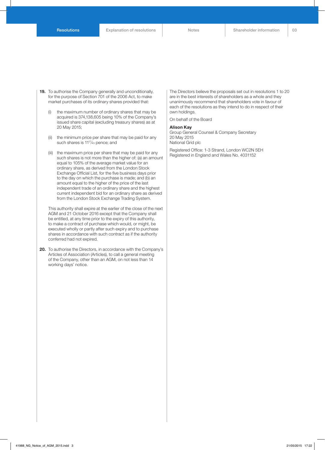- 19. To authorise the Company generally and unconditionally, for the purpose of Section 701 of the 2006 Act, to make market purchases of its ordinary shares provided that:
	- (i) the maximum number of ordinary shares that may be acquired is 374,138,605 being 10% of the Company's issued share capital (excluding treasury shares) as at 20 May 2015;
	- (ii) the minimum price per share that may be paid for any such shares is 11<sup>17</sup>/<sub>43</sub> pence; and
	- (iii) the maximum price per share that may be paid for any such shares is not more than the higher of: (a) an amount equal to 105% of the average market value for an ordinary share, as derived from the London Stock Exchange Official List, for the five business days prior to the day on which the purchase is made; and (b) an amount equal to the higher of the price of the last independent trade of an ordinary share and the highest current independent bid for an ordinary share as derived from the London Stock Exchange Trading System.

This authority shall expire at the earlier of the close of the next AGM and 21 October 2016 except that the Company shall be entitled, at any time prior to the expiry of this authority, to make a contract of purchase which would, or might, be executed wholly or partly after such expiry and to purchase shares in accordance with such contract as if the authority conferred had not expired.

20. To authorise the Directors, in accordance with the Company's Articles of Association (Articles), to call a general meeting of the Company, other than an AGM, on not less than 14 working days' notice.

The Directors believe the proposals set out in resolutions 1 to 20 are in the best interests of shareholders as a whole and they unanimously recommend that shareholders vote in favour of each of the resolutions as they intend to do in respect of their own holdings.

On behalf of the Board

#### Alison Kay

Group General Counsel & Company Secretary 20 May 2015 National Grid plc

Registered Office: 1-3 Strand, London WC2N 5EH Registered in England and Wales No. 4031152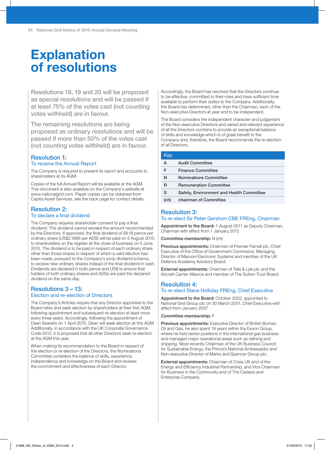# **Explanation** of resolutions

Resolutions 18, 19 and 20 will be proposed as special resolutions and will be passed if at least 75% of the votes cast (not counting votes withheld) are in favour.

The remaining resolutions are being proposed as ordinary resolutions and will be passed if more than 50% of the votes cast (not counting votes withheld) are in favour.

#### Resolution 1: To receive the Annual Report

The Company is required to present its report and accounts to shareholders at its AGM.

Copies of the full Annual Report will be available at the AGM. This document is also available on the Company's website at www.nationalgrid.com. Paper copies can be obtained from Capita Asset Services, see the back page for contact details.

# Resolution 2:

## To declare a final dividend

The Company requires shareholder consent to pay a final dividend. The dividend cannot exceed the amount recommended by the Directors. If approved, the final dividend of 28.16 pence per ordinary share (US\$2.1866 per ADS) will be paid on 5 August 2015 to shareholders on the register at the close of business on 5 June 2015. The dividend is to be paid in respect of each ordinary share other than those shares in respect of which a valid election has been made, pursuant to the Company's scrip dividend scheme, to receive new ordinary shares instead of the final dividend in cash. Dividends are declared in both pence and US\$ to ensure that holders of both ordinary shares and ADSs are paid the declared dividend on the same day.

#### Resolutions 3 – 13: Election and re-election of Directors

The Company's Articles require that any Director appointed to the Board retire and seek election by shareholders at their first AGM following appointment and subsequent re-election at least once every three years. Accordingly, following the appointment of Dean Seavers on 1 April 2015, Dean will seek election at this AGM. Additionally, in accordance with the UK Corporate Governance Code 2012, it is proposed that all other Directors seek re-election at the AGM this year.

When making its recommendation to the Board in respect of the election or re-election of the Directors, the Nominations Committee considers the balance of skills, experience, independence and knowledge on the Board and reviews the commitment and effectiveness of each Director.

Accordingly, the Board has resolved that the Directors continue to be effective, committed to their roles and have sufficient time available to perform their duties to the Company. Additionally, the Board has determined, other than the Chairman, each of the Non-executive Directors at year end to be independent.

The Board considers the independent character and judgement of the Non-executive Directors and varied and relevant experience of all the Directors combine to provide an exceptional balance of skills and knowledge which is of great benefit to the Company and, therefore, the Board recommends the re-election of all Directors.

| Key  |                                          |
|------|------------------------------------------|
| А    | <b>Audit Committee</b>                   |
| F    | <b>Finance Committee</b>                 |
| N    | <b>Nominations Committee</b>             |
| R    | <b>Remuneration Committee</b>            |
| S    | Safety, Environment and Health Committee |
| (ch) | chairman of Committee                    |

# Resolution 3:

L L

#### To re-elect Sir Peter Gershon CBE FREng, Chairman

Appointment to the Board: 1 August 2011 as Deputy Chairman, Chairman with effect from 1 January 2012

Committee membership: N (ch)

Previous appointments: Chairman of Premier Farnell plc, Chief Executive of the Office of Government Commerce, Managing Director of Marconi Electronic Systems and member of the UK Defence Academy Advisory Board.

External appointments: Chairman of Tate & Lyle plc and the Aircraft Carrier Alliance and member of The Sutton Trust Board.

## Resolution 4: To re-elect Steve Holliday FREng, Chief Executive

Appointment to the Board: October 2002, appointed to National Grid Group plc on 30 March 2001, Chief Executive with effect from January 2007

#### Committee membership: F

Previous appointments: Executive Director of British Borneo Oil and Gas, he also spent 19 years within the Exxon Group, where he held senior positions in the international gas business and managed major operational areas such as refining and shipping. Most recently Chairman of the UK Business Council for Sustainable Energy, the Prince's National Ambassador and Non-executive Director of Marks and Spencer Group plc.

External appointments: Chairman of Crisis UK and of the Energy and Efficiency Industrial Partnership, and Vice Chairman for Business in the Community and of The Careers and Enterprise Company.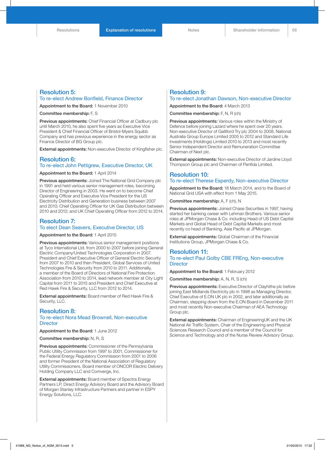#### Resolution 5: To re-elect Andrew Bonfield, Finance Director

Appointment to the Board: 1 November 2010

Committee membership: F, S

Previous appointments: Chief Financial Officer at Cadbury plc until March 2010, he also spent five years as Executive Vice President & Chief Financial Officer of Bristol-Myers Squibb Company and has previous experience in the energy sector as Finance Director of BG Group plc.

External appointments: Non-executive Director of Kingfisher plc.

### Resolution 6: To re-elect John Pettigrew, Executive Director, UK

Appointment to the Board: 1 April 2014

Previous appointments: Joined The National Grid Company plc in 1991 and held various senior management roles, becoming Director of Engineering in 2003. He went on to become Chief Operating Officer and Executive Vice President for the US Electricity Distribution and Generation business between 2007 and 2010; Chief Operating Officer for UK Gas Distribution between 2010 and 2012; and UK Chief Operating Officer from 2012 to 2014.

#### Resolution 7: To elect Dean Seavers, Executive Director, US

Appointment to the Board: 1 April 2015

Previous appointments: Various senior management positions at Tyco International Ltd. from 2000 to 2007 before joining General Electric Company/United Technologies Corporation in 2007. President and Chief Executive Officer of General Electric Security from 2007 to 2010 and then President, Global Services of United Technologies Fire & Security from 2010 to 2011. Additionally, a member of the Board of Directors of National Fire Protection Association from 2010 to 2014, lead network member at City Light Capital from 2011 to 2015 and President and Chief Executive at Red Hawk Fire & Security, LLC from 2012 to 2014.

External appointments: Board member of Red Hawk Fire & Security, LLC.

#### Resolution 8:

#### To re-elect Nora Mead Brownell, Non-executive **Director**

Appointment to the Board: 1 June 2012

#### Committee membership: N, R, S

Previous appointments: Commissioner of the Pennsylvania Public Utility Commission from 1997 to 2001, Commissioner for the Federal Energy Regulatory Commission from 2001 to 2006 and former President of the National Association of Regulatory Utility Commissioners. Board member of ONCOR Electric Delivery Holding Company LLC and Comverge, Inc.

**External appointments: Board member of Spectra Energy** Partners LP, Direct Energy Advisory Board and the Advisory Board of Morgan Stanley Infrastructure Partners and partner in ESPY Energy Solutions, LLC.

## Resolution 9:

## To re-elect Jonathan Dawson, Non-executive Director

Appointment to the Board: 4 March 2013

Committee membership: F, N, R (ch)

Previous appointments: Various roles within the Ministry of Defence before joining Lazard where he spent over 20 years. Non-executive Director of Galliford Try plc 2004 to 2008, National Australia Group Europe Limited 2005 to 2012 and Standard Life Investments (Holdings) Limited 2010 to 2013 and most recently Senior Independent Director and Remuneration Committee Chairman of Next plc.

External appointments: Non-executive Director of Jardine Lloyd Thompson Group plc and Chairman of Penfida Limited.

#### Resolution 10: To re-elect Therese Esperdy, Non-executive Director

Appointment to the Board: 18 March 2014, and to the Board of National Grid USA with effect from 1 May 2015.

Committee membership: A, F (ch), N

Previous appointments: Joined Chase Securities in 1997, having started her banking career with Lehman Brothers. Various senior roles at JPMorgan Chase & Co. including Head of US Debt Capital Markets and Global Head of Debt Capital Markets and most recently co head of Banking, Asia Pacific at JPMorgan.

External appointments: Global Chairman of the Financial Institutions Group, JPMorgan Chase & Co.

#### Resolution 11:

#### To re-elect Paul Golby CBE FREng, Non-executive **Director**

Appointment to the Board: 1 February 2012

Committee membership: A, N, R, S (ch)

Previous appointments: Executive Director of Clayhithe plc before joining East Midlands Electricity plc in 1998 as Managing Director, Chief Executive of E.ON UK plc in 2002, and later additionally as Chairman, stepping down from the E.ON Board in December 2011 and most recently Non-executive Chairman of AEA Technology Group plc.

External appointments: Chairman of EngineeringUK and the UK National Air Traffic System, Chair of the Engineering and Physical Sciences Research Council and a member of the Council for Science and Technology and of the Nurse Review Advisory Group.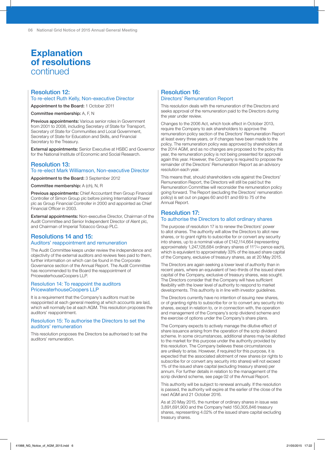# **Explanation** of resolutions continued

#### Resolution 12: To re-elect Ruth Kelly, Non-executive Director

Appointment to the Board: 1 October 2011

Committee membership: A, F, N

Previous appointments: Various senior roles in Government from 2001 to 2008, including Secretary of State for Transport, Secretary of State for Communities and Local Government, Secretary of State for Education and Skills, and Financial Secretary to the Treasury.

External appointments: Senior Executive at HSBC and Governor for the National Institute of Economic and Social Research.

#### Resolution 13: To re-elect Mark Williamson, Non-executive Director

Appointment to the Board: 3 September 2012

Committee membership: A (ch), N, R

Previous appointments: Chief Accountant then Group Financial Controller of Simon Group plc before joining International Power plc as Group Financial Controller in 2000 and appointed as Chief Financial Officer in 2003.

External appointments: Non-executive Director, Chairman of the Audit Committee and Senior Independent Director of Alent plc, and Chairman of Imperial Tobacco Group PLC.

#### Resolutions 14 and 15: Auditors' reappointment and remuneration

The Audit Committee keeps under review the independence and objectivity of the external auditors and reviews fees paid to them, further information on which can be found in the Corporate Governance section of the Annual Report. The Audit Committee has recommended to the Board the reappointment of PricewaterhouseCoopers LLP.

#### Resolution 14: To reappoint the auditors PricewaterhouseCoopers LLP

It is a requirement that the Company's auditors must be reappointed at each general meeting at which accounts are laid, which will normally be at each AGM. This resolution proposes the auditors' reappointment.

#### Resolution 15: To authorise the Directors to set the auditors' remuneration

This resolution proposes the Directors be authorised to set the auditors' remuneration.

### Resolution 16: Directors' Remuneration Report

This resolution deals with the remuneration of the Directors and seeks approval of the remuneration paid to the Directors during the year under review.

Changes to the 2006 Act, which took effect in October 2013, require the Company to ask shareholders to approve the remuneration policy section of the Directors' Remuneration Report at least every three years, or if changes have been made to the policy. The remuneration policy was approved by shareholders at the 2014 AGM, and as no changes are proposed to the policy this year, the remuneration policy is not being presented for approval again this year. However, the Company is required to propose the remainder of the Directors' Remuneration Report as an advisory resolution each year.

This means that, should shareholders vote against the Directors' Remuneration Report, the Directors will still be paid but the Remuneration Committee will reconsider the remuneration policy going forward. The Report (excluding the Directors' remuneration policy) is set out on pages 60 and 61 and 69 to 75 of the Annual Report.

## Resolution 17: To authorise the Directors to allot ordinary shares

The purpose of resolution 17 is to renew the Directors' power to allot shares. The authority will allow the Directors to allot new shares, or to grant rights to subscribe for or convert any security into shares, up to a nominal value of £142,114,664 (representing approximately 1,247,128,684 ordinary shares of 11<sup>17</sup>/<sub>43</sub> pence each), which is equivalent to approximately 33% of the issued share capital of the Company, exclusive of treasury shares, as at 20 May 2015.

The Directors are again seeking a lower level of authority than in recent years, where an equivalent of two-thirds of the issued share capital of the Company, exclusive of treasury shares, was sought. The Directors consider that the Company will have sufficient flexibility with the lower level of authority to respond to market developments. This authority is in line with investor guidelines.

The Directors currently have no intention of issuing new shares, or of granting rights to subscribe for or to convert any security into shares, except in relation to, or in connection with, the operation and management of the Company's scrip dividend scheme and the exercise of options under the Company's share plans.

The Company expects to actively manage the dilutive effect of share issuance arising from the operation of the scrip dividend scheme. In some circumstances, additional shares may be allotted to the market for this purpose under the authority provided by this resolution. The Company believes these circumstances are unlikely to arise. However, if required for this purpose, it is expected that the associated allotment of new shares (or rights to subscribe for or convert any security into shares) will not exceed 1% of the issued share capital (excluding treasury shares) per annum. For further details in relation to the management of the scrip dividend scheme, see page 02 of the Annual Report.

This authority will be subject to renewal annually. If the resolution is passed, the authority will expire at the earlier of the close of the next AGM and 21 October 2016.

As at 20 May 2015, the number of ordinary shares in issue was 3,891,691,900 and the Company held 150,305,846 treasury shares, representing 4.02% of the issued share capital excluding treasury shares.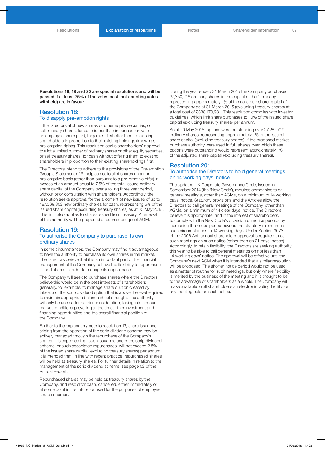Resolutions 18, 19 and 20 are special resolutions and will be passed if at least 75% of the votes cast (not counting votes withheld) are in favour.

#### Resolution 18: To disapply pre-emption rights

If the Directors allot new shares or other equity securities, or sell treasury shares, for cash (other than in connection with an employee share plan), they must first offer them to existing shareholders in proportion to their existing holdings (known as pre-emption rights). This resolution seeks shareholders' approval to allot a limited number of ordinary shares or other equity securities, or sell treasury shares, for cash without offering them to existing shareholders in proportion to their existing shareholdings first.

The Directors intend to adhere to the provisions of the Pre-emption Group's Statement of Principles not to allot shares on a non pre-emptive basis (other than pursuant to a pre-emptive offer) in excess of an amount equal to 7.5% of the total issued ordinary share capital of the Company over a rolling three year period, without prior consultation with shareholders. Accordingly, the resolution seeks approval for the allotment of new issues of up to 187,069,302 new ordinary shares for cash, representing 5% of the issued share capital (excluding treasury shares) as at 20 May 2015. This limit also applies to shares issued from treasury. A renewal of this authority will be proposed at each subsequent AGM.

#### Resolution 19: To authorise the Company to purchase its own ordinary shares

In some circumstances, the Company may find it advantageous to have the authority to purchase its own shares in the market. The Directors believe that it is an important part of the financial management of the Company to have the flexibility to repurchase issued shares in order to manage its capital base.

The Company will seek to purchase shares where the Directors believe this would be in the best interests of shareholders generally, for example, to manage share dilution created by take-up of the scrip dividend option that is above the level required to maintain appropriate balance sheet strength. The authority will only be used after careful consideration, taking into account market conditions prevailing at the time, other investment and financing opportunities and the overall financial position of the Company.

Further to the explanatory note to resolution 17, share issuance arising from the operation of the scrip dividend scheme may be actively managed through the repurchase of the Company's shares. It is expected that such issuance under the scrip dividend scheme, or such associated repurchases, will not exceed 2.5% of the issued share capital (excluding treasury shares) per annum. It is intended that, in line with recent practice, repurchased shares will be held as treasury shares. For further details in relation to the management of the scrip dividend scheme, see page 02 of the Annual Report.

Repurchased shares may be held as treasury shares by the Company, and resold for cash, cancelled, either immediately or at some point in the future, or used for the purposes of employee share schemes.

During the year ended 31 March 2015 the Company purchased 37,350,216 ordinary shares in the capital of the Company, representing approximately 1% of the called up share capital of the Company as at 31 March 2015 (excluding treasury shares) at a total cost of £338,170,931. This resolution complies with investor guidelines, which limit share purchases to 10% of the issued share capital (excluding treasury shares) per annum.

As at 20 May 2015, options were outstanding over 27,282,719 ordinary shares, representing approximately 1% of the issued share capital (excluding treasury shares). If the proposed market purchase authority were used in full, shares over which these options were outstanding would represent approximately 1% of the adjusted share capital (excluding treasury shares).

#### Resolution 20: To authorise the Directors to hold general meetings on 14 working days' notice

The updated UK Corporate Governance Code, issued in September 2014 (the 'New Code'), requires companies to call general meetings, other than AGMs, on a minimum of 14 working days' notice. Statutory provisions and the Articles allow the Directors to call general meetings of the Company, other than AGMs, on a minimum of 14 clear days' notice. The Directors believe it is appropriate, and in the interest of shareholders, to comply with the New Code's provision on notice periods by increasing the notice period beyond the statutory minimum in such circumstances to 14 working days. Under Section 307A of the 2006 Act, annual shareholder approval is required to call such meetings on such notice (rather than on 21 days' notice). Accordingly, to retain flexibility, the Directors are seeking authority this year to be able to call general meetings on not less than 14 working days' notice. The approval will be effective until the Company's next AGM when it is intended that a similar resolution will be proposed. The shorter notice period would not be used as a matter of routine for such meetings, but only where flexibility is merited by the business of the meeting and it is thought to be to the advantage of shareholders as a whole. The Company will make available to all shareholders an electronic voting facility for any meeting held on such notice.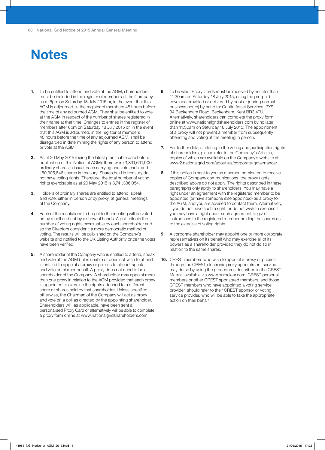# **Notes**

- 1. To be entitled to attend and vote at the AGM, shareholders must be included in the register of members of the Company as at 6pm on Saturday 18 July 2015 or, in the event that this AGM is adjourned, in the register of members 48 hours before the time of any adjourned AGM. They shall be entitled to vote at the AGM in respect of the number of shares registered in their name at that time. Changes to entries in the register of members after 6pm on Saturday 18 July 2015 or, in the event that this AGM is adjourned, in the register of members 48 hours before the time of any adjourned AGM, shall be disregarded in determining the rights of any person to attend or vote at the AGM.
- 2. As at 20 May 2015 (being the latest practicable date before publication of this Notice of AGM), there were 3,891,691,900 ordinary shares in issue, each carrying one vote each, and 150,305,846 shares in treasury. Shares held in treasury do not have voting rights. Therefore, the total number of voting rights exercisable as at 20 May 2015 is 3,741,386,054.
- **3.** Holders of ordinary shares are entitled to attend, speak and vote, either in person or by proxy, at general meetings of the Company.
- 4. Each of the resolutions to be put to the meeting will be voted on by a poll and not by a show of hands. A poll reflects the number of voting rights exercisable by each shareholder and so the Directors consider it a more democratic method of voting. The results will be published on the Company's website and notified to the UK Listing Authority once the votes have been verified.
- **5.** A shareholder of the Company who is entitled to attend, speak and vote at the AGM but is unable or does not wish to attend is entitled to appoint a proxy or proxies to attend, speak and vote on his/her behalf. A proxy does not need to be a shareholder of the Company. A shareholder may appoint more than one proxy in relation to the AGM provided that each proxy is appointed to exercise the rights attached to a different share or shares held by that shareholder. Unless specified otherwise, the Chairman of the Company will act as proxy and vote on a poll as directed by the appointing shareholder. Shareholders will, as applicable, have been sent a personalised Proxy Card or alternatively will be able to complete a proxy form online at www.nationalgridshareholders.com.
- **6.** To be valid, Proxy Cards must be received by no later than 11.30am on Saturday 18 July 2015, using the pre-paid envelope provided or delivered by post or (during normal business hours) by hand to: Capita Asset Services, PXS, 34 Beckenham Road, Beckenham, Kent BR3 4TU. Alternatively, shareholders can complete the proxy form online at www.nationalgridshareholders.com by no later than 11.30am on Saturday 18 July 2015. The appointment of a proxy will not prevent a member from subsequently attending and voting at the meeting in person.
- **7.** For further details relating to the voting and participation rights of shareholders, please refer to the Company's Articles, copies of which are available on the Company's website at www2.nationalgrid.com/about-us/corporate-governance/.
- 8. If this notice is sent to you as a person nominated to receive copies of Company communications, the proxy rights described above do not apply. The rights described in these paragraphs only apply to shareholders. You may have a right under an agreement with the registered member to be appointed (or have someone else appointed) as a proxy for the AGM, and you are advised to contact them. Alternatively, if you do not have such a right, or do not wish to exercise it, you may have a right under such agreement to give instructions to the registered member holding the shares as to the exercise of voting rights.
- 9. A corporate shareholder may appoint one or more corporate representatives on its behalf who may exercise all of its powers as a shareholder provided they do not do so in relation to the same shares.
- 10. CREST members who wish to appoint a proxy or proxies through the CREST electronic proxy appointment service may do so by using the procedures described in the CREST Manual available via www.euroclear.com. CREST personal members or other CREST sponsored members, and those CREST members who have appointed a voting service provider, should refer to their CREST sponsor or voting service provider, who will be able to take the appropriate action on their behalf.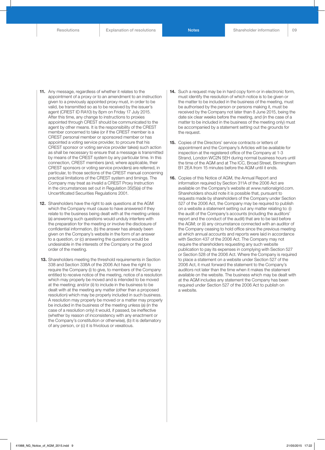$\Omega$ 

- 11. Any message, regardless of whether it relates to the appointment of a proxy or to an amendment to an instruction given to a previously appointed proxy must, in order to be valid, be transmitted so as to be received by the issuer's agent (CREST ID RA10) by 8pm on Friday 17 July 2015. After this time, any change to instructions to proxies appointed through CREST should be communicated to the agent by other means. It is the responsibility of the CREST member concerned to take (or if the CREST member is a CREST personal member or sponsored member or has appointed a voting service provider, to procure that his CREST sponsor or voting service provider takes) such action as shall be necessary to ensure that a message is transmitted by means of the CREST system by any particular time. In this connection, CREST members (and, where applicable, their CREST sponsors or voting service providers) are referred, in particular, to those sections of the CREST manual concerning practical limitations of the CREST system and timings. The Company may treat as invalid a CREST Proxy Instruction in the circumstances set out in Regulation 35(5)(a) of the Uncertificated Securities Regulations 2001.
- 12. Shareholders have the right to ask questions at the AGM which the Company must cause to have answered if they relate to the business being dealt with at the meeting unless (a) answering such questions would unduly interfere with the preparation for the meeting or involve the disclosure of confidential information, (b) the answer has already been given on the Company's website in the form of an answer to a question, or (c) answering the questions would be undesirable in the interests of the Company or the good order of the meeting.
- 13. Shareholders meeting the threshold requirements in Section 338 and Section 338A of the 2006 Act have the right to require the Company (i) to give, to members of the Company entitled to receive notice of the meeting, notice of a resolution which may properly be moved and is intended to be moved at the meeting; and/or (ii) to include in the business to be dealt with at the meeting any matter (other than a proposed resolution) which may be properly included in such business. A resolution may properly be moved or a matter may properly be included in the business of the meeting unless (a) (in the case of a resolution only) it would, if passed, be ineffective (whether by reason of inconsistency with any enactment or the Company's constitution or otherwise), (b) it is defamatory of any person, or (c) it is frivolous or vexatious.
- 14. Such a request may be in hard copy form or in electronic form, must identify the resolution of which notice is to be given or the matter to be included in the business of the meeting, must be authorised by the person or persons making it, must be received by the Company not later than 8 June 2015, being the date six clear weeks before the meeting, and (in the case of a matter to be included in the business of the meeting only) must be accompanied by a statement setting out the grounds for the request.
- 15. Copies of the Directors' service contracts or letters of appointment and the Company's Articles will be available for inspection at the registered office of the Company at 1-3 Strand, London WC2N 5EH during normal business hours until the time of the AGM and at The ICC, Broad Street, Birmingham B1 2EA from 15 minutes before the AGM until it ends.
- 16. Copies of this Notice of AGM, the Annual Report and information required by Section 311A of the 2006 Act are available on the Company's website at www.nationalgrid.com. Shareholders should note it is possible that, pursuant to requests made by shareholders of the Company under Section 527 of the 2006 Act, the Company may be required to publish on a website a statement setting out any matter relating to: (i) the audit of the Company's accounts (including the auditors' report and the conduct of the audit) that are to be laid before the AGM; or (ii) any circumstance connected with an auditor of the Company ceasing to hold office since the previous meeting at which annual accounts and reports were laid in accordance with Section 437 of the 2006 Act. The Company may not require the shareholders requesting any such website publication to pay its expenses in complying with Section 527 or Section 528 of the 2006 Act. Where the Company is required to place a statement on a website under Section 527 of the 2006 Act, it must forward the statement to the Company's auditors not later than the time when it makes the statement available on the website. The business which may be dealt with at the AGM includes any statement the Company has been required under Section 527 of the 2006 Act to publish on a website.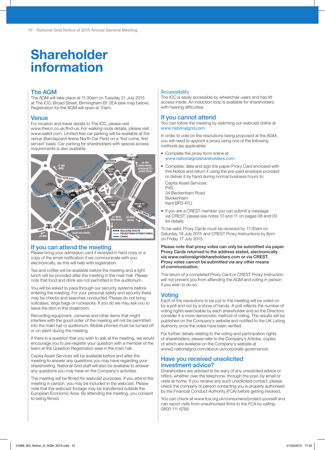# Shareholder information

### The AGM

The AGM will take place at 11.30am on Tuesday 21 July 2015 at The ICC, Broad Street, Birmingham B1 2EA (see map below). Registration for the AGM will open at 10am.

#### **Venue**

For location and travel details to The ICC, please visit www.theicc.co.uk/find-us. For walking route details, please visit www.walkit.com. Limited free car parking will be available at the venue (Barclaycard Arena North Car Park) on a 'first come, first served' basis. Car parking for shareholders with special access requirements is also available.



## If you can attend the meeting

Please bring your admission card if received in hard copy or a copy of the email notification if we communicate with you electronically, as this will help with registration.

Tea and coffee will be available before the meeting and a light lunch will be provided after the meeting in the main hall. Please note that food and drink are not permitted in the auditorium.

You will be asked to pass through our security systems before entering the meeting. For your personal safety and security there may be checks and searches conducted. Please do not bring suitcases, large bags or rucksacks. If you do we may ask you to leave the item in the cloakroom.

Recording equipment, cameras and other items that might interfere with the good order of the meeting will not be permitted into the main hall or auditorium. Mobile phones must be turned off or on silent during the meeting.

If there is a question that you wish to ask at the meeting, we would encourage you to pre-register your question with a member of the team at the Question Registration area in the main hall.

Capita Asset Services will be available before and after the meeting to answer any questions you may have regarding your shareholding. National Grid staff will also be available to answer any questions you may have on the Company's activities.

The meeting will be filmed for webcast purposes. If you attend the meeting in person, you may be included in the webcast. Please note that the webcast footage may be transferred outside the European Economic Area. By attending the meeting, you consent to being filmed.

#### **Accessibility**

The ICC is easily accessible by wheelchair users and has lift access inside. An induction loop is available for shareholders with hearing difficulties.

#### If you cannot attend

You can follow the meeting by watching our webcast online at www.nationalgrid.com.

In order to vote on the resolutions being proposed at the AGM, you will need to appoint a proxy using one of the following methods (as applicable):

- Complete the proxy form online at www.nationalgridshareholders.com
- Complete, date and sign the paper Proxy Card enclosed with this Notice and return it using the pre-paid envelope provided or deliver it by hand during normal business hours to:

Capita Asset Services PXS 34 Beckenham Road Beckenham Kent BR3 4TU

• If you are a CREST member you can submit a message via CREST, please see notes 10 and 11 on pages 08 and 09 for details.

To be valid, Proxy Cards must be received by 11.30am on Saturday 18 July 2015 and CREST Proxy Instructions by 8pm on Friday 17 July 2015.

Please note that proxy votes can only be submitted via paper Proxy Cards returned to the address stated, electronically via www.nationalgridshareholders.com or via CREST. Proxy votes cannot be submitted via any other means of communication.

The return of a completed Proxy Card or CREST Proxy Instruction will not prevent you from attending the AGM and voting in person if you wish to do so.

## Voting

Each of the resolutions to be put to the meeting will be voted on by a poll and not by a show of hands. A poll reflects the number of voting rights exercisable by each shareholder and so the Directors consider it a more democratic method of voting. The results will be published on the Company's website and notified to the UK Listing Authority once the votes have been verified.

For further details relating to the voting and participation rights of shareholders, please refer to the Company's Articles, copies of which are available on the Company's website at www2.nationalgrid.com/about-us/corporate-governance/.

## Have you received unsolicited investment advice?

Shareholders are advised to be wary of any unsolicited advice or offers, whether over the telephone, through the post, by email or visits at home. If you receive any such unsolicited contact, please check the company or person contacting you is properly authorised by the Financial Conduct Authority (FCA) before getting involved.

You can check at www.fca.org.uk/consumers/protect-yourself and can report calls from unauthorised firms to the FCA by calling 0800 111 6768.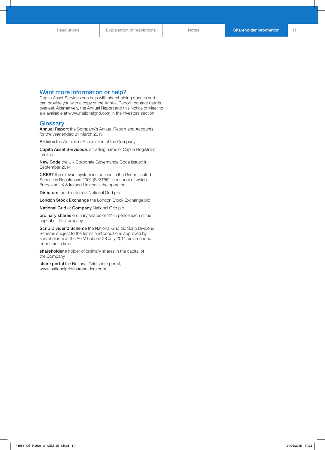#### Want more information or help?

Capita Asset Services can help with shareholding queries and can provide you with a copy of the Annual Report, contact details overleaf. Alternatively, the Annual Report and this Notice of Meeting are available at www.nationalgrid.com in the Investors section.

#### **Glossary**

Annual Report the Company's Annual Report and Accounts for the year ended 31 March 2015

Articles the Articles of Association of the Company

Capita Asset Services is a trading name of Capita Registrars Limited

New Code the UK Corporate Governance Code issued in September 2014

CREST the relevant system (as defined in the Uncertificated Securities Regulations 2001 (SI/3755)) in respect of which Euroclear UK & Ireland Limited is the operator

Directors the directors of National Grid plc

London Stock Exchange the London Stock Exchange plc

National Grid or Company National Grid plc

ordinary shares ordinary shares of 11<sup>17</sup>/<sub>43</sub> pence each in the capital of the Company

Scrip Dividend Scheme the National Grid plc Scrip Dividend Scheme subject to the terms and conditions approved by shareholders at the AGM held on 28 July 2014, as amended from time to time

shareholder a holder of ordinary shares in the capital of the Company

share portal the National Grid share portal, www.nationalgridshareholders.com